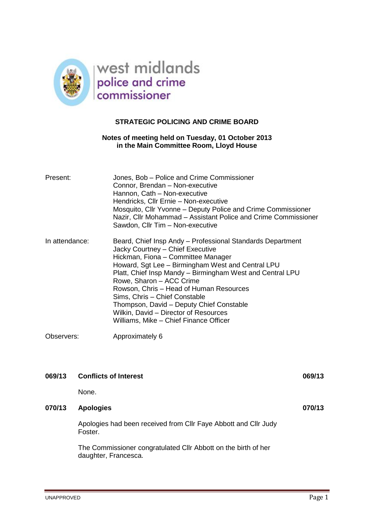

### **STRATEGIC POLICING AND CRIME BOARD**

### **Notes of meeting held on Tuesday, 01 October 2013 in the Main Committee Room, Lloyd House**

| Present:       | Jones, Bob - Police and Crime Commissioner<br>Connor, Brendan - Non-executive<br>Hannon, Cath - Non-executive<br>Hendricks, Cllr Ernie - Non-executive<br>Mosquito, Cllr Yvonne – Deputy Police and Crime Commissioner<br>Nazir, Cllr Mohammad – Assistant Police and Crime Commissioner<br>Sawdon, Cllr Tim - Non-executive                                                                                                                                                                  |
|----------------|-----------------------------------------------------------------------------------------------------------------------------------------------------------------------------------------------------------------------------------------------------------------------------------------------------------------------------------------------------------------------------------------------------------------------------------------------------------------------------------------------|
| In attendance: | Beard, Chief Insp Andy - Professional Standards Department<br>Jacky Courtney - Chief Executive<br>Hickman, Fiona - Committee Manager<br>Howard, Sgt Lee - Birmingham West and Central LPU<br>Platt, Chief Insp Mandy – Birmingham West and Central LPU<br>Rowe, Sharon - ACC Crime<br>Rowson, Chris - Head of Human Resources<br>Sims, Chris - Chief Constable<br>Thompson, David - Deputy Chief Constable<br>Wilkin, David - Director of Resources<br>Williams, Mike – Chief Finance Officer |
| Observers:     | Approximately 6                                                                                                                                                                                                                                                                                                                                                                                                                                                                               |

| 069/13 | <b>Conflicts of Interest</b>                                                           | 069/13 |
|--------|----------------------------------------------------------------------------------------|--------|
|        | None.                                                                                  |        |
| 070/13 | <b>Apologies</b>                                                                       | 070/13 |
|        | Apologies had been received from CIIr Faye Abbott and CIIr Judy<br>Foster.             |        |
|        | The Commissioner congratulated CIIr Abbott on the birth of her<br>daughter, Francesca. |        |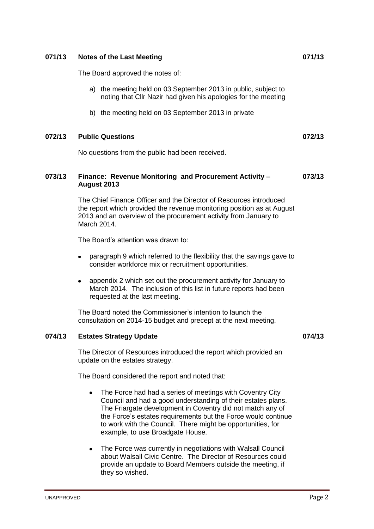# **074/13 Estates Strategy Update 074/13**

The Director of Resources introduced the report which provided an update on the estates strategy.

The Board considered the report and noted that:

- The Force had had a series of meetings with Coventry City  $\bullet$ Council and had a good understanding of their estates plans. The Friargate development in Coventry did not match any of the Force's estates requirements but the Force would continue to work with the Council. There might be opportunities, for example, to use Broadgate House.
- The Force was currently in negotiations with Walsall Council  $\bullet$ about Walsall Civic Centre. The Director of Resources could provide an update to Board Members outside the meeting, if they so wished.

# The Board approved the notes of:

- a) the meeting held on 03 September 2013 in public, subject to noting that Cllr Nazir had given his apologies for the meeting
- b) the meeting held on 03 September 2013 in private

#### **072/13 Public Questions 072/13**

No questions from the public had been received.

#### **073/13 Finance: Revenue Monitoring and Procurement Activity – August 2013 073/13**

The Chief Finance Officer and the Director of Resources introduced the report which provided the revenue monitoring position as at August 2013 and an overview of the procurement activity from January to March 2014.

The Board's attention was drawn to:

- paragraph 9 which referred to the flexibility that the savings gave to consider workforce mix or recruitment opportunities.
- appendix 2 which set out the procurement activity for January to  $\bullet$ March 2014. The inclusion of this list in future reports had been requested at the last meeting.

The Board noted the Commissioner's intention to launch the consultation on 2014-15 budget and precept at the next meeting.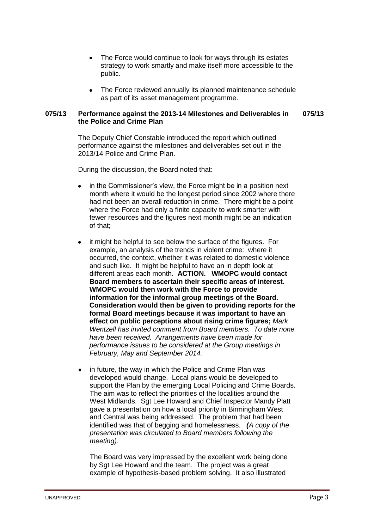- The Force would continue to look for ways through its estates strategy to work smartly and make itself more accessible to the public.
- The Force reviewed annually its planned maintenance schedule as part of its asset management programme.

#### **075/13 Performance against the 2013-14 Milestones and Deliverables in the Police and Crime Plan 075/13**

The Deputy Chief Constable introduced the report which outlined performance against the milestones and deliverables set out in the 2013/14 Police and Crime Plan.

During the discussion, the Board noted that:

- in the Commissioner's view, the Force might be in a position next month where it would be the longest period since 2002 where there had not been an overall reduction in crime. There might be a point where the Force had only a finite capacity to work smarter with fewer resources and the figures next month might be an indication of that;
- it might be helpful to see below the surface of the figures. For example, an analysis of the trends in violent crime: where it occurred, the context, whether it was related to domestic violence and such like. It might be helpful to have an in depth look at different areas each month. **ACTION. WMOPC would contact Board members to ascertain their specific areas of interest. WMOPC would then work with the Force to provide information for the informal group meetings of the Board. Consideration would then be given to providing reports for the formal Board meetings because it was important to have an effect on public perceptions about rising crime figures;** *Mark Wentzell has invited comment from Board members. To date none have been received. Arrangements have been made for performance issues to be considered at the Group meetings in February, May and September 2014.*
- in future, the way in which the Police and Crime Plan was  $\bullet$ developed would change. Local plans would be developed to support the Plan by the emerging Local Policing and Crime Boards. The aim was to reflect the priorities of the localities around the West Midlands. Sgt Lee Howard and Chief Inspector Mandy Platt gave a presentation on how a local priority in Birmingham West and Central was being addressed. The problem that had been identified was that of begging and homelessness. *(A copy of the presentation was circulated to Board members following the meeting).*

The Board was very impressed by the excellent work being done by Sgt Lee Howard and the team. The project was a great example of hypothesis-based problem solving. It also illustrated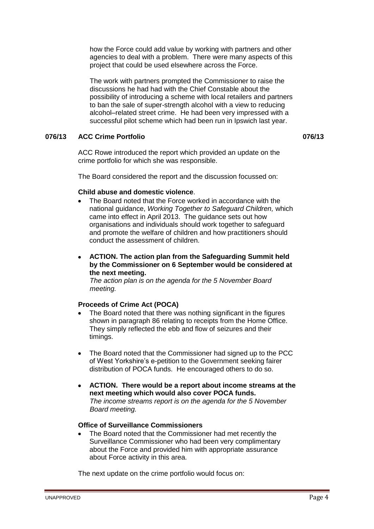how the Force could add value by working with partners and other agencies to deal with a problem. There were many aspects of this project that could be used elsewhere across the Force.

The work with partners prompted the Commissioner to raise the discussions he had had with the Chief Constable about the possibility of introducing a scheme with local retailers and partners to ban the sale of super-strength alcohol with a view to reducing alcohol–related street crime. He had been very impressed with a successful pilot scheme which had been run in Ipswich last year.

## **076/13 ACC Crime Portfolio 076/13**

ACC Rowe introduced the report which provided an update on the crime portfolio for which she was responsible.

The Board considered the report and the discussion focussed on:

### **Child abuse and domestic violence**.

- The Board noted that the Force worked in accordance with the national guidance, *Working Together to Safeguard Children,* which came into effect in April 2013. The guidance sets out how organisations and individuals should work together to safeguard and promote the welfare of children and how practitioners should conduct the assessment of children.
- **ACTION. The action plan from the Safeguarding Summit held**   $\bullet$ **by the Commissioner on 6 September would be considered at the next meeting.**

*The action plan is on the agenda for the 5 November Board meeting.*

### **Proceeds of Crime Act (POCA)**

- The Board noted that there was nothing significant in the figures shown in paragraph 86 relating to receipts from the Home Office. They simply reflected the ebb and flow of seizures and their timings.
- The Board noted that the Commissioner had signed up to the PCC of West Yorkshire's e-petition to the Government seeking fairer distribution of POCA funds. He encouraged others to do so.
- $\bullet$ **ACTION. There would be a report about income streams at the next meeting which would also cover POCA funds.** *The income streams report is on the agenda for the 5 November Board meeting.*

#### **Office of Surveillance Commissioners**

The Board noted that the Commissioner had met recently the Surveillance Commissioner who had been very complimentary about the Force and provided him with appropriate assurance about Force activity in this area.

The next update on the crime portfolio would focus on: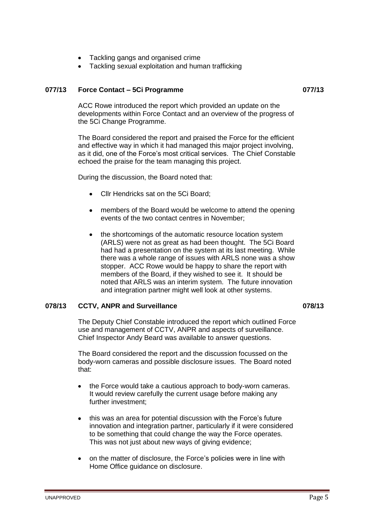- Tackling gangs and organised crime
- Tackling sexual exploitation and human trafficking

#### **077/13 Force Contact – 5Ci Programme 077/13**

ACC Rowe introduced the report which provided an update on the developments within Force Contact and an overview of the progress of the 5Ci Change Programme.

The Board considered the report and praised the Force for the efficient and effective way in which it had managed this major project involving, as it did, one of the Force's most critical services. The Chief Constable echoed the praise for the team managing this project.

During the discussion, the Board noted that:

- Cllr Hendricks sat on the 5Ci Board;
- members of the Board would be welcome to attend the opening events of the two contact centres in November;
- the shortcomings of the automatic resource location system (ARLS) were not as great as had been thought. The 5Ci Board had had a presentation on the system at its last meeting. While there was a whole range of issues with ARLS none was a show stopper. ACC Rowe would be happy to share the report with members of the Board, if they wished to see it. It should be noted that ARLS was an interim system. The future innovation and integration partner might well look at other systems.

#### **078/13 CCTV, ANPR and Surveillance 078/13**

The Deputy Chief Constable introduced the report which outlined Force use and management of CCTV, ANPR and aspects of surveillance. Chief Inspector Andy Beard was available to answer questions.

The Board considered the report and the discussion focussed on the body-worn cameras and possible disclosure issues. The Board noted that:

- the Force would take a cautious approach to body-worn cameras. It would review carefully the current usage before making any further investment;
- this was an area for potential discussion with the Force's future innovation and integration partner, particularly if it were considered to be something that could change the way the Force operates. This was not just about new ways of giving evidence;
- on the matter of disclosure, the Force's policies were in line with Home Office guidance on disclosure.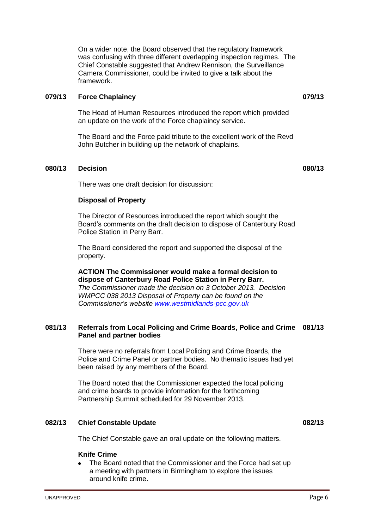On a wider note, the Board observed that the regulatory framework was confusing with three different overlapping inspection regimes. The Chief Constable suggested that Andrew Rennison, the Surveillance Camera Commissioner, could be invited to give a talk about the framework.

#### **079/13 Force Chaplaincy 079/13**

The Head of Human Resources introduced the report which provided an update on the work of the Force chaplaincy service.

The Board and the Force paid tribute to the excellent work of the Revd John Butcher in building up the network of chaplains.

#### **080/13 Decision 080/13**

There was one draft decision for discussion:

#### **Disposal of Property**

The Director of Resources introduced the report which sought the Board's comments on the draft decision to dispose of Canterbury Road Police Station in Perry Barr.

The Board considered the report and supported the disposal of the property.

**ACTION The Commissioner would make a formal decision to dispose of Canterbury Road Police Station in Perry Barr.** *The Commissioner made the decision on 3 October 2013. Decision WMPCC 038 2013 Disposal of Property can be found on the Commissioner's website [www.westmidlands-pcc.gov.uk](http://www.westmidlands-pcc.gov.uk/)*

#### **081/13 Referrals from Local Policing and Crime Boards, Police and Crime 081/13 Panel and partner bodies**

There were no referrals from Local Policing and Crime Boards, the Police and Crime Panel or partner bodies. No thematic issues had yet been raised by any members of the Board.

The Board noted that the Commissioner expected the local policing and crime boards to provide information for the forthcoming Partnership Summit scheduled for 29 November 2013.

#### **082/13 Chief Constable Update 082/13**

The Chief Constable gave an oral update on the following matters.

#### **Knife Crime**

The Board noted that the Commissioner and the Force had set up a meeting with partners in Birmingham to explore the issues around knife crime.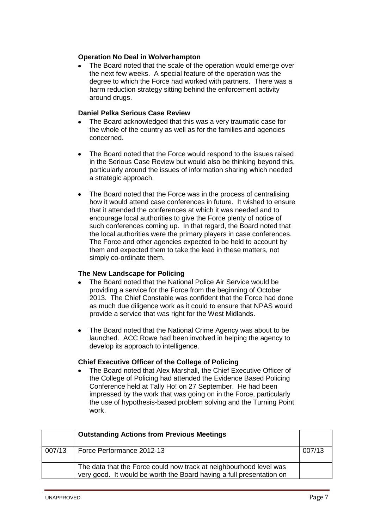### **Operation No Deal in Wolverhampton**

The Board noted that the scale of the operation would emerge over the next few weeks. A special feature of the operation was the degree to which the Force had worked with partners. There was a harm reduction strategy sitting behind the enforcement activity around drugs.

### **Daniel Pelka Serious Case Review**

- The Board acknowledged that this was a very traumatic case for the whole of the country as well as for the families and agencies concerned.
- The Board noted that the Force would respond to the issues raised in the Serious Case Review but would also be thinking beyond this, particularly around the issues of information sharing which needed a strategic approach.
- The Board noted that the Force was in the process of centralising  $\bullet$ how it would attend case conferences in future. It wished to ensure that it attended the conferences at which it was needed and to encourage local authorities to give the Force plenty of notice of such conferences coming up. In that regard, the Board noted that the local authorities were the primary players in case conferences. The Force and other agencies expected to be held to account by them and expected them to take the lead in these matters, not simply co-ordinate them.

### **The New Landscape for Policing**

- The Board noted that the National Police Air Service would be providing a service for the Force from the beginning of October 2013. The Chief Constable was confident that the Force had done as much due diligence work as it could to ensure that NPAS would provide a service that was right for the West Midlands.
- The Board noted that the National Crime Agency was about to be launched. ACC Rowe had been involved in helping the agency to develop its approach to intelligence.

#### **Chief Executive Officer of the College of Policing**

The Board noted that Alex Marshall, the Chief Executive Officer of the College of Policing had attended the Evidence Based Policing Conference held at Tally Ho! on 27 September. He had been impressed by the work that was going on in the Force, particularly the use of hypothesis-based problem solving and the Turning Point work.

|        | <b>Outstanding Actions from Previous Meetings</b>                                                                                          |        |
|--------|--------------------------------------------------------------------------------------------------------------------------------------------|--------|
| 007/13 | Force Performance 2012-13                                                                                                                  | 007/13 |
|        | The data that the Force could now track at neighbourhood level was<br>very good. It would be worth the Board having a full presentation on |        |